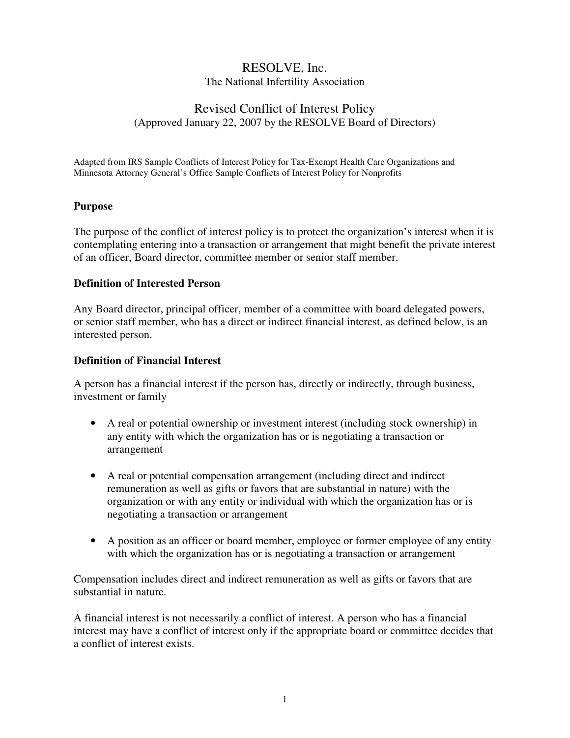# RESOLVE, Inc. The National Infertility Association

## Revised Conflict of Interest Policy (Approved January 22, 2007 by the RESOLVE Board of Directors)

Adapted from IRS Sample Conflicts of Interest Policy for Tax-Exempt Health Care Organizations and Minnesota Attorney General's Office Sample Conflicts of Interest Policy for Nonprofits

#### **Purpose**

The purpose of the conflict of interest policy is to protect the organization's interest when it is contemplating entering into a transaction or arrangement that might benefit the private interest of an officer, Board director, committee member or senior staff member.

#### **Definition of Interested Person**

Any Board director, principal officer, member of a committee with board delegated powers, or senior staff member, who has a direct or indirect financial interest, as defined below, is an interested person.

#### **Definition of Financial Interest**

A person has a financial interest if the person has, directly or indirectly, through business, investment or family

- A real or potential ownership or investment interest (including stock ownership) in any entity with which the organization has or is negotiating a transaction or arrangement
- A real or potential compensation arrangement (including direct and indirect remuneration as well as gifts or favors that are substantial in nature) with the organization or with any entity or individual with which the organization has or is negotiating a transaction or arrangement
- A position as an officer or board member, employee or former employee of any entity with which the organization has or is negotiating a transaction or arrangement

Compensation includes direct and indirect remuneration as well as gifts or favors that are substantial in nature.

A financial interest is not necessarily a conflict of interest. A person who has a financial interest may have a conflict of interest only if the appropriate board or committee decides that a conflict of interest exists.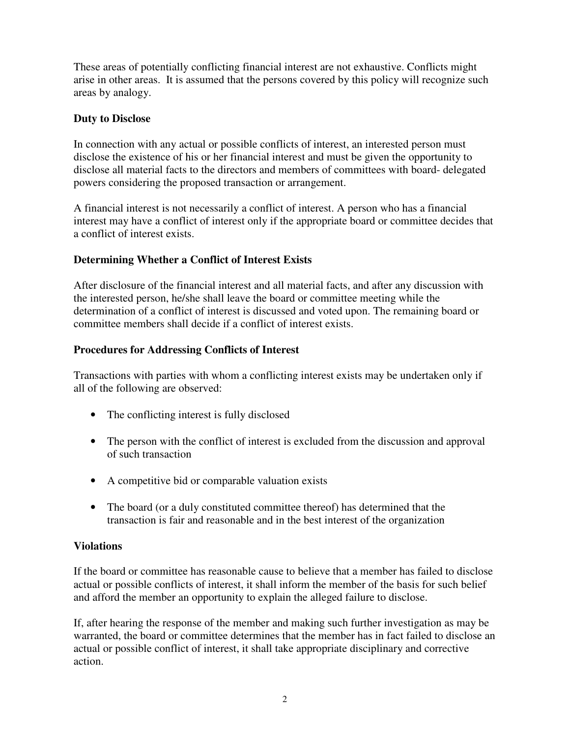These areas of potentially conflicting financial interest are not exhaustive. Conflicts might arise in other areas. It is assumed that the persons covered by this policy will recognize such areas by analogy.

## **Duty to Disclose**

In connection with any actual or possible conflicts of interest, an interested person must disclose the existence of his or her financial interest and must be given the opportunity to disclose all material facts to the directors and members of committees with board- delegated powers considering the proposed transaction or arrangement.

A financial interest is not necessarily a conflict of interest. A person who has a financial interest may have a conflict of interest only if the appropriate board or committee decides that a conflict of interest exists.

## **Determining Whether a Conflict of Interest Exists**

After disclosure of the financial interest and all material facts, and after any discussion with the interested person, he/she shall leave the board or committee meeting while the determination of a conflict of interest is discussed and voted upon. The remaining board or committee members shall decide if a conflict of interest exists.

### **Procedures for Addressing Conflicts of Interest**

Transactions with parties with whom a conflicting interest exists may be undertaken only if all of the following are observed:

- The conflicting interest is fully disclosed
- The person with the conflict of interest is excluded from the discussion and approval of such transaction
- A competitive bid or comparable valuation exists
- The board (or a duly constituted committee thereof) has determined that the transaction is fair and reasonable and in the best interest of the organization

### **Violations**

If the board or committee has reasonable cause to believe that a member has failed to disclose actual or possible conflicts of interest, it shall inform the member of the basis for such belief and afford the member an opportunity to explain the alleged failure to disclose.

If, after hearing the response of the member and making such further investigation as may be warranted, the board or committee determines that the member has in fact failed to disclose an actual or possible conflict of interest, it shall take appropriate disciplinary and corrective action.